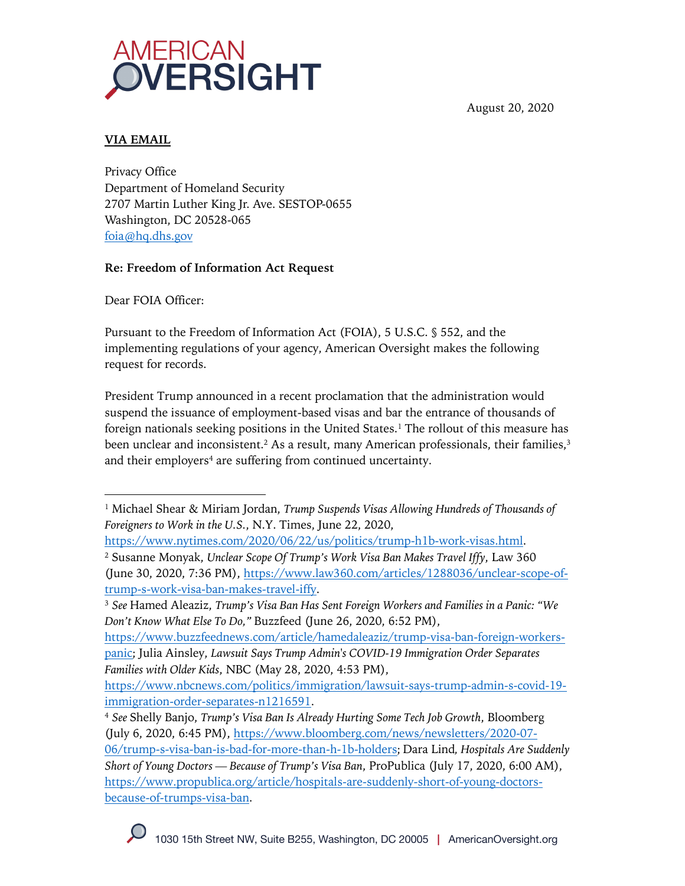



## **VIA EMAIL**

Privacy Office Department of Homeland Security 2707 Martin Luther King Jr. Ave. SESTOP-0655 Washington, DC 20528-065 foia@hq.dhs.gov

# **Re: Freedom of Information Act Request**

Dear FOIA Officer:

Pursuant to the Freedom of Information Act (FOIA), 5 U.S.C. § 552, and the implementing regulations of your agency, American Oversight makes the following request for records.

President Trump announced in a recent proclamation that the administration would suspend the issuance of employment-based visas and bar the entrance of thousands of foreign nationals seeking positions in the United States.<sup>1</sup> The rollout of this measure has been unclear and inconsistent.<sup>2</sup> As a result, many American professionals, their families,<sup>3</sup> and their employers<sup>4</sup> are suffering from continued uncertainty.

<sup>1</sup> Michael Shear & Miriam Jordan, *Trump Suspends Visas Allowing Hundreds of Thousands of Foreigners to Work in the U.S.*, N.Y. Times, June 22, 2020,

https://www.nytimes.com/2020/06/22/us/politics/trump-h1b-work-visas.html. <sup>2</sup> Susanne Monyak, *Unclear Scope Of Trump's Work Visa Ban Makes Travel Iffy*, Law 360 (June 30, 2020, 7:36 PM), https://www.law360.com/articles/1288036/unclear-scope-oftrump-s-work-visa-ban-makes-travel-iffy.

<sup>3</sup> *See* Hamed Aleaziz, *Trump's Visa Ban Has Sent Foreign Workers and Families in a Panic: "We Don't Know What Else To Do,"* Buzzfeed (June 26, 2020, 6:52 PM),

https://www.buzzfeednews.com/article/hamedaleaziz/trump-visa-ban-foreign-workerspanic; Julia Ainsley, *Lawsuit Says Trump Admin's COVID-19 Immigration Order Separates Families with Older Kids*, NBC (May 28, 2020, 4:53 PM),

https://www.nbcnews.com/politics/immigration/lawsuit-says-trump-admin-s-covid-19 immigration-order-separates-n1216591.

<sup>4</sup> *See* Shelly Banjo, *Trump's Visa Ban Is Already Hurting Some Tech Job Growth*, Bloomberg (July 6, 2020, 6:45 PM), https://www.bloomberg.com/news/newsletters/2020-07- 06/trump-s-visa-ban-is-bad-for-more-than-h-1b-holders; Dara Lind*, Hospitals Are Suddenly Short of Young Doctors — Because of Trump's Visa Ban*, ProPublica (July 17, 2020, 6:00 AM), https://www.propublica.org/article/hospitals-are-suddenly-short-of-young-doctorsbecause-of-trumps-visa-ban.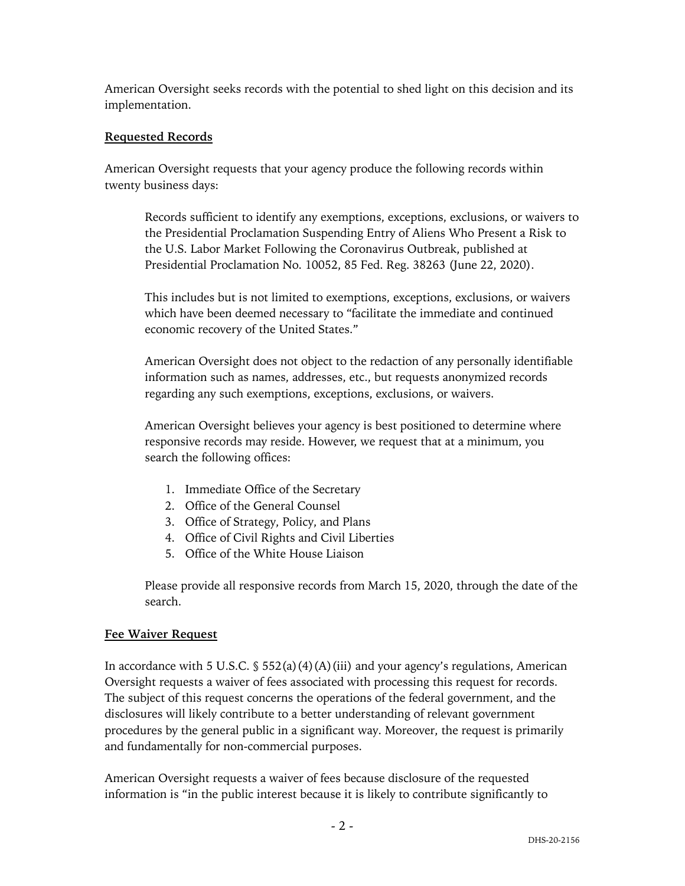American Oversight seeks records with the potential to shed light on this decision and its implementation.

### **Requested Records**

American Oversight requests that your agency produce the following records within twenty business days:

Records sufficient to identify any exemptions, exceptions, exclusions, or waivers to the Presidential Proclamation Suspending Entry of Aliens Who Present a Risk to the U.S. Labor Market Following the Coronavirus Outbreak, published at Presidential Proclamation No. 10052, 85 Fed. Reg. 38263 (June 22, 2020).

This includes but is not limited to exemptions, exceptions, exclusions, or waivers which have been deemed necessary to "facilitate the immediate and continued economic recovery of the United States."

American Oversight does not object to the redaction of any personally identifiable information such as names, addresses, etc., but requests anonymized records regarding any such exemptions, exceptions, exclusions, or waivers.

American Oversight believes your agency is best positioned to determine where responsive records may reside. However, we request that at a minimum, you search the following offices:

- 1. Immediate Office of the Secretary
- 2. Office of the General Counsel
- 3. Office of Strategy, Policy, and Plans
- 4. Office of Civil Rights and Civil Liberties
- 5. Office of the White House Liaison

Please provide all responsive records from March 15, 2020, through the date of the search.

#### **Fee Waiver Request**

In accordance with 5 U.S.C.  $\S$  552(a)(4)(A)(iii) and your agency's regulations, American Oversight requests a waiver of fees associated with processing this request for records. The subject of this request concerns the operations of the federal government, and the disclosures will likely contribute to a better understanding of relevant government procedures by the general public in a significant way. Moreover, the request is primarily and fundamentally for non-commercial purposes.

American Oversight requests a waiver of fees because disclosure of the requested information is "in the public interest because it is likely to contribute significantly to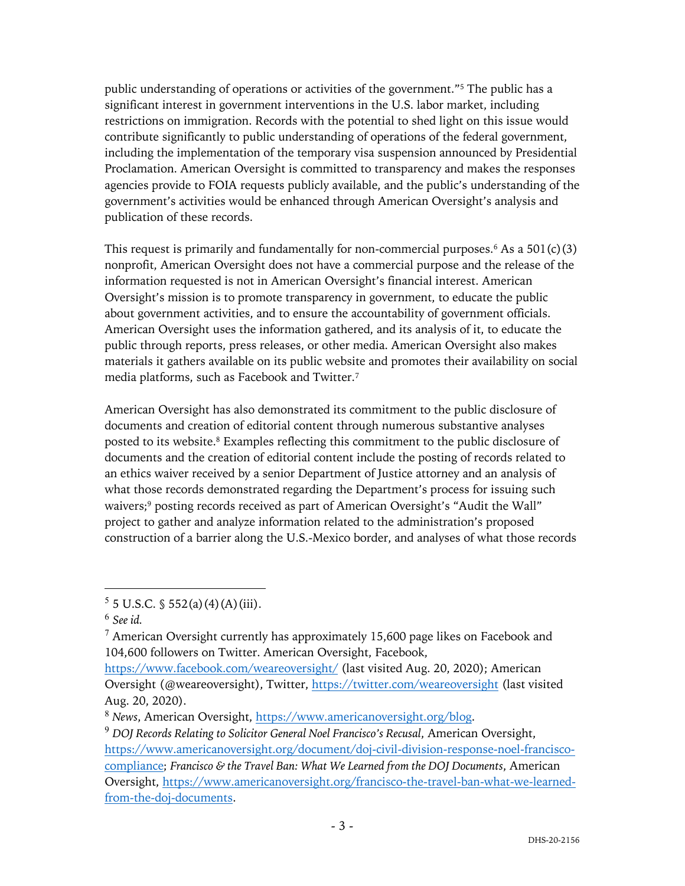public understanding of operations or activities of the government."5 The public has a significant interest in government interventions in the U.S. labor market, including restrictions on immigration. Records with the potential to shed light on this issue would contribute significantly to public understanding of operations of the federal government, including the implementation of the temporary visa suspension announced by Presidential Proclamation. American Oversight is committed to transparency and makes the responses agencies provide to FOIA requests publicly available, and the public's understanding of the government's activities would be enhanced through American Oversight's analysis and publication of these records.

This request is primarily and fundamentally for non-commercial purposes.<sup>6</sup> As a  $501(c)(3)$ nonprofit, American Oversight does not have a commercial purpose and the release of the information requested is not in American Oversight's financial interest. American Oversight's mission is to promote transparency in government, to educate the public about government activities, and to ensure the accountability of government officials. American Oversight uses the information gathered, and its analysis of it, to educate the public through reports, press releases, or other media. American Oversight also makes materials it gathers available on its public website and promotes their availability on social media platforms, such as Facebook and Twitter.7

American Oversight has also demonstrated its commitment to the public disclosure of documents and creation of editorial content through numerous substantive analyses posted to its website.8 Examples reflecting this commitment to the public disclosure of documents and the creation of editorial content include the posting of records related to an ethics waiver received by a senior Department of Justice attorney and an analysis of what those records demonstrated regarding the Department's process for issuing such waivers;<sup>9</sup> posting records received as part of American Oversight's "Audit the Wall" project to gather and analyze information related to the administration's proposed construction of a barrier along the U.S.-Mexico border, and analyses of what those records

 $5 \text{ J.S. C. }$  \$ 552(a)(4)(A)(iii).

<sup>6</sup> *See id.*

 $7$  American Oversight currently has approximately 15,600 page likes on Facebook and 104,600 followers on Twitter. American Oversight, Facebook,

https://www.facebook.com/weareoversight/ (last visited Aug. 20, 2020); American Oversight (@weareoversight), Twitter, https://twitter.com/weareoversight (last visited Aug. 20, 2020).

<sup>8</sup> *News*, American Oversight, https://www.americanoversight.org/blog.

<sup>9</sup> *DOJ Records Relating to Solicitor General Noel Francisco's Recusal*, American Oversight, https://www.americanoversight.org/document/doj-civil-division-response-noel-franciscocompliance; *Francisco & the Travel Ban: What We Learned from the DOJ Documents*, American Oversight, https://www.americanoversight.org/francisco-the-travel-ban-what-we-learnedfrom-the-doj-documents.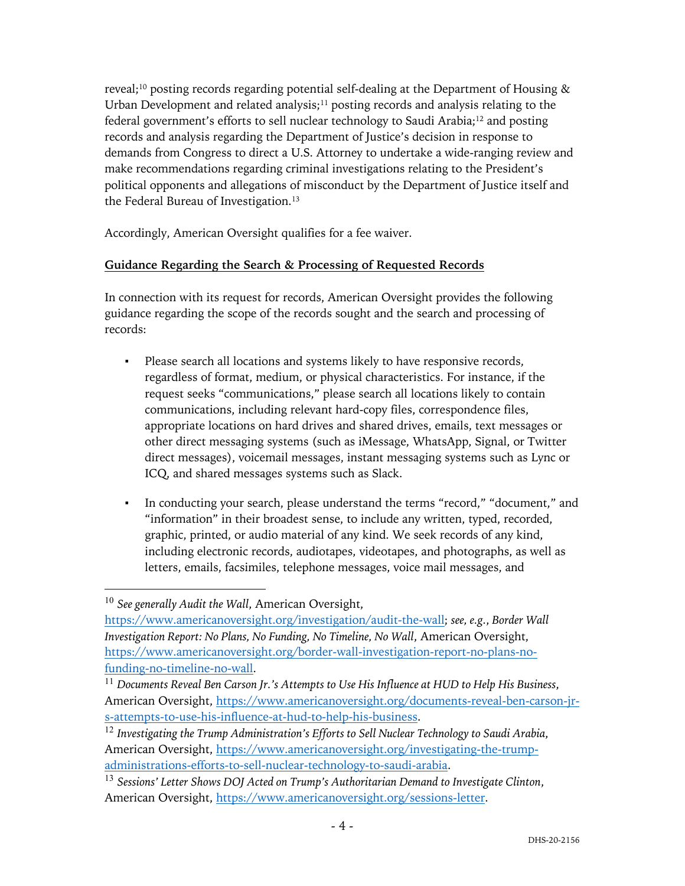reveal;<sup>10</sup> posting records regarding potential self-dealing at the Department of Housing & Urban Development and related analysis; $11$  posting records and analysis relating to the federal government's efforts to sell nuclear technology to Saudi Arabia;<sup>12</sup> and posting records and analysis regarding the Department of Justice's decision in response to demands from Congress to direct a U.S. Attorney to undertake a wide-ranging review and make recommendations regarding criminal investigations relating to the President's political opponents and allegations of misconduct by the Department of Justice itself and the Federal Bureau of Investigation.<sup>13</sup>

Accordingly, American Oversight qualifies for a fee waiver.

# **Guidance Regarding the Search & Processing of Requested Records**

In connection with its request for records, American Oversight provides the following guidance regarding the scope of the records sought and the search and processing of records:

- Please search all locations and systems likely to have responsive records, regardless of format, medium, or physical characteristics. For instance, if the request seeks "communications," please search all locations likely to contain communications, including relevant hard-copy files, correspondence files, appropriate locations on hard drives and shared drives, emails, text messages or other direct messaging systems (such as iMessage, WhatsApp, Signal, or Twitter direct messages), voicemail messages, instant messaging systems such as Lync or ICQ, and shared messages systems such as Slack.
- In conducting your search, please understand the terms "record," "document," and "information" in their broadest sense, to include any written, typed, recorded, graphic, printed, or audio material of any kind. We seek records of any kind, including electronic records, audiotapes, videotapes, and photographs, as well as letters, emails, facsimiles, telephone messages, voice mail messages, and

<sup>10</sup> *See generally Audit the Wall*, American Oversight,

https://www.americanoversight.org/investigation/audit-the-wall; *see, e.g.*, *Border Wall Investigation Report: No Plans, No Funding, No Timeline, No Wall*, American Oversight, https://www.americanoversight.org/border-wall-investigation-report-no-plans-nofunding-no-timeline-no-wall.

<sup>11</sup> *Documents Reveal Ben Carson Jr.'s Attempts to Use His Influence at HUD to Help His Business*, American Oversight, https://www.americanoversight.org/documents-reveal-ben-carson-jrs-attempts-to-use-his-influence-at-hud-to-help-his-business.

<sup>12</sup> *Investigating the Trump Administration's Efforts to Sell Nuclear Technology to Saudi Arabia*, American Oversight, https://www.americanoversight.org/investigating-the-trumpadministrations-efforts-to-sell-nuclear-technology-to-saudi-arabia.

<sup>13</sup> *Sessions' Letter Shows DOJ Acted on Trump's Authoritarian Demand to Investigate Clinton*, American Oversight, https://www.americanoversight.org/sessions-letter.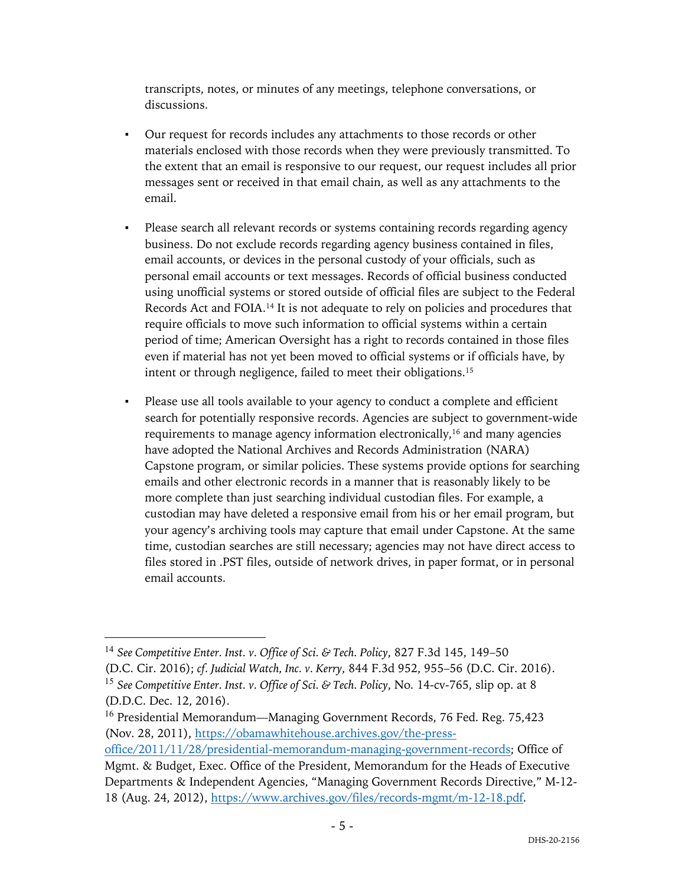transcripts, notes, or minutes of any meetings, telephone conversations, or discussions.

- Our request for records includes any attachments to those records or other materials enclosed with those records when they were previously transmitted. To the extent that an email is responsive to our request, our request includes all prior messages sent or received in that email chain, as well as any attachments to the email.
- Please search all relevant records or systems containing records regarding agency business. Do not exclude records regarding agency business contained in files, email accounts, or devices in the personal custody of your officials, such as personal email accounts or text messages. Records of official business conducted using unofficial systems or stored outside of official files are subject to the Federal Records Act and FOIA.14 It is not adequate to rely on policies and procedures that require officials to move such information to official systems within a certain period of time; American Oversight has a right to records contained in those files even if material has not yet been moved to official systems or if officials have, by intent or through negligence, failed to meet their obligations.15
- Please use all tools available to your agency to conduct a complete and efficient search for potentially responsive records. Agencies are subject to government-wide requirements to manage agency information electronically,<sup>16</sup> and many agencies have adopted the National Archives and Records Administration (NARA) Capstone program, or similar policies. These systems provide options for searching emails and other electronic records in a manner that is reasonably likely to be more complete than just searching individual custodian files. For example, a custodian may have deleted a responsive email from his or her email program, but your agency's archiving tools may capture that email under Capstone. At the same time, custodian searches are still necessary; agencies may not have direct access to files stored in .PST files, outside of network drives, in paper format, or in personal email accounts.

<sup>14</sup> *See Competitive Enter. Inst. v. Office of Sci. & Tech. Policy*, 827 F.3d 145, 149–50 (D.C. Cir. 2016); *cf. Judicial Watch, Inc. v. Kerry*, 844 F.3d 952, 955–56 (D.C. Cir. 2016). <sup>15</sup> *See Competitive Enter. Inst. v. Office of Sci. & Tech. Policy*, No. 14-cv-765, slip op. at 8 (D.D.C. Dec. 12, 2016).

<sup>&</sup>lt;sup>16</sup> Presidential Memorandum—Managing Government Records, 76 Fed. Reg. 75,423 (Nov. 28, 2011), https://obamawhitehouse.archives.gov/the-press-

office/2011/11/28/presidential-memorandum-managing-government-records; Office of Mgmt. & Budget, Exec. Office of the President, Memorandum for the Heads of Executive Departments & Independent Agencies, "Managing Government Records Directive," M-12- 18 (Aug. 24, 2012), https://www.archives.gov/files/records-mgmt/m-12-18.pdf.